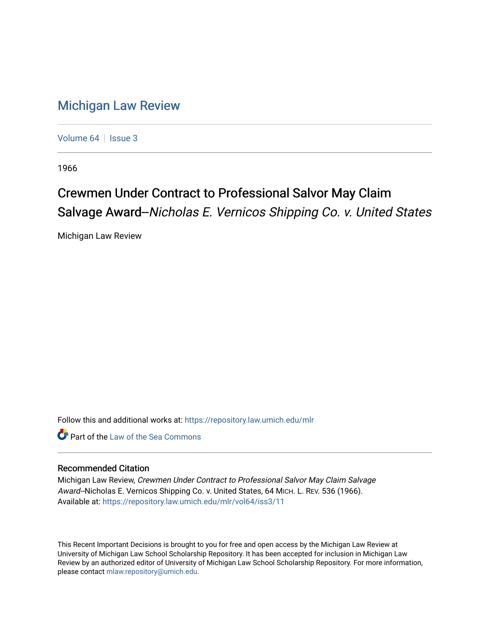## [Michigan Law Review](https://repository.law.umich.edu/mlr)

[Volume 64](https://repository.law.umich.edu/mlr/vol64) | [Issue 3](https://repository.law.umich.edu/mlr/vol64/iss3)

1966

## Crewmen Under Contract to Professional Salvor May Claim Salvage Award--Nicholas E. Vernicos Shipping Co. v. United States

Michigan Law Review

Follow this and additional works at: [https://repository.law.umich.edu/mlr](https://repository.law.umich.edu/mlr?utm_source=repository.law.umich.edu%2Fmlr%2Fvol64%2Fiss3%2F11&utm_medium=PDF&utm_campaign=PDFCoverPages) 

**C** Part of the Law of the Sea Commons

## Recommended Citation

Michigan Law Review, Crewmen Under Contract to Professional Salvor May Claim Salvage Award--Nicholas E. Vernicos Shipping Co. v. United States, 64 MICH. L. REV. 536 (1966). Available at: [https://repository.law.umich.edu/mlr/vol64/iss3/11](https://repository.law.umich.edu/mlr/vol64/iss3/11?utm_source=repository.law.umich.edu%2Fmlr%2Fvol64%2Fiss3%2F11&utm_medium=PDF&utm_campaign=PDFCoverPages) 

This Recent Important Decisions is brought to you for free and open access by the Michigan Law Review at University of Michigan Law School Scholarship Repository. It has been accepted for inclusion in Michigan Law Review by an authorized editor of University of Michigan Law School Scholarship Repository. For more information, please contact [mlaw.repository@umich.edu.](mailto:mlaw.repository@umich.edu)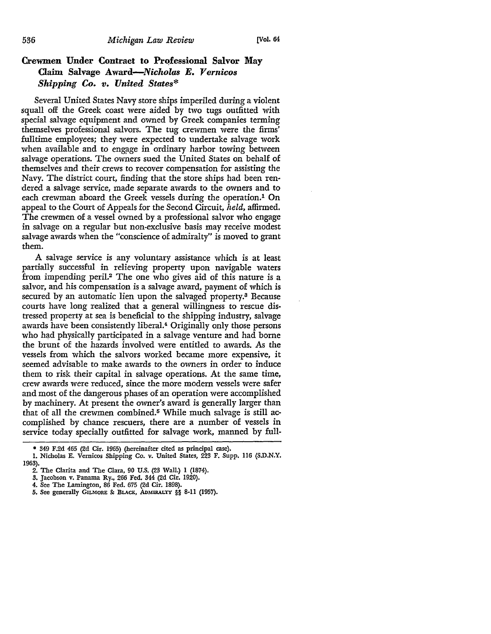## **Crewmen Under Contract to Professional Salvor May Claim Salvage** *Award-Nicholas E. Vernicos Shipping* **Co.** *v. United States\**

Several United States Navy store ships imperiled during a violent squall off the Greek coast were aided by two tugs outfitted with special salvage equipment and owned by Greek companies terming themselves professional salvors. The tug crewmen were the firms' fulltime employees; they were expected to undertake salvage work when available and to engage in ordinary harbor towing between salvage operations. The owners sued the United States on behalf of themselves and their crews to recover compensation for assisting the Navy. The district court, finding that the store ships had been ren• dered a salvage service, made separate awards to the owners and to each crewman aboard the Greek vessels during the operation.1 **On**  appeal to the Court of Appeals for the Second Circuit, *held,* affirmed. The crewmen of a vessel owned by a professional salvor who engage in salvage on a regular but non-exclusive basis may receive modest salvage awards when the "conscience of admiralty" is moved to grant them.

A salvage service is any voluntary assistance which is at least partially successful in relieving property upon navigable waters from impending peril.2 The one who gives aid of this nature is a salvor, and his compensation is a salvage award, payment of which is secured by an automatic lien upon the salvaged property.<sup>8</sup> Because courts have long realized that a general willingness to rescue distressed property at sea is beneficial to the shipping industry, salvage awards have been consistently liberal.4 Originally only those persons who had physically participated in a salvage venture and had borne the brunt of the hazards involved were entitled to awards. As the vessels from which the salvors worked became more expensive, it seemed advisable to make awards to the owners in order to induce them to risk their capital in salvage operations. At the same time, crew awards were reduced, since the more modern vessels were safer and most of the dangerous phases of an operation were accomplished by machinery. At present the owner's award is generally larger than that of all the crewmen combined.5 While much salvage is still ac• complished by chance rescuers, there are a number of vessels in service today specially outfitted for salvage work, manned by full-

<sup>• 349</sup> F.2d 465 (2d Cir. 1965) (hereinafter cited as principal case).

I. Nicholas E. Vemicos Shipping Co. v. United States, 223 F. Supp. 116 (S.D.N.Y. 1963).

<sup>2.</sup> The Clarita and The Clara, 90 U.S. (23 Wall.) I (1874).

<sup>3.</sup> Jacobson v. Panama Ry., 266 Fed. 344 (2d Cir. 1920).

<sup>4.</sup> See The Lamington, 86 Fed. 675 (2d Cir. 1898).

<sup>5.</sup> See generally GILMORE 8: BLACK, ADMIRALTY §§ 8-11 (1957).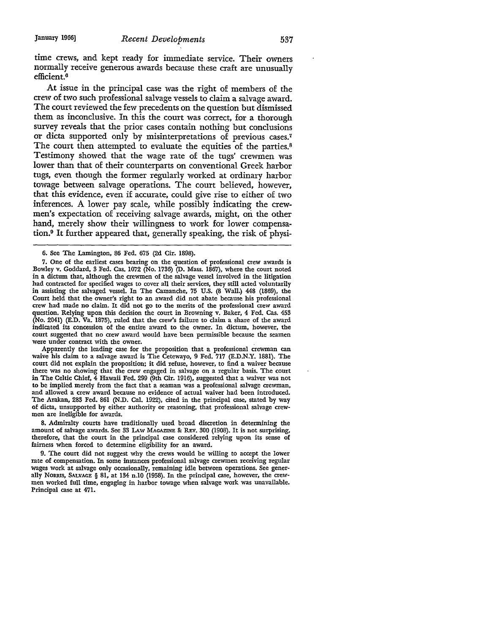time crews, and kept ready for immediate service. Their owners normally receive generous awards because these craft are unusually efficient. <sup>6</sup>

At issue in the principal case was the right of members of the crew of two such professional salvage vessels to claim a salvage award. The court reviewed the few precedents on the question but dismissed them as inconclusive. In this the court was correct, for a thorough survey reveals that the prior cases contain nothing but conclusions or dicta supported only by misinterpretations of previous cases.<sup>7</sup> The court then attempted to evaluate the equities of the parties.<sup>8</sup> Testimony showed that the wage rate of the tugs' crewmen was lower than that of their counterparts on conventional Greek harbor tugs, even though the former regularly worked at ordinary harbor towage between salvage operations. The court believed, however, that this evidence, even if accurate, could give rise to either of two inferences. A lower pay scale, while possibly indicating the crewmen's expectation of receiving salvage awards, might, on the other hand, merely show their willingness to work for lower compensation.<sup>9</sup> It further appeared that, generally speaking, the risk of physi-

Apparently the leading case for the proposition that a professional crewman can waive his claim to a salvage award is The Cetewayo, 9 Fed. 717 (E.D.N.Y. 1881). The court did not explain the proposition; it did refuse, however, to find a waiver because there was no showing that the crew engaged in salvage on a regular basis. The court in The Celtic Chief, 4 Hawaii Fed. 299 (9th Cir. 1916), suggested that a waiver was not **to** be implied merely from the fact that a seaman was a professional salvage crewman, and allowed a crew award because no evidence of actual waiver had been introduced. The Arakan, 283 Fed. 861 (N.D. Cal. 1922), cited in the principal case, stated by way of dicta, unsupported by either authority or reasoning, that professional salvage crewmen are ineligible for awards.

8. Admiralty courts have traditionally used broad discretion in determining the amount of salvage awards. See 33 LAW MAGAZINE & REV. 300 (1908). It is not surprising, therefore, that the court in the principal case considered relying upon its sense of fairness when forced to determine eligibility for an award.

9. The court did not suggest why the crews would be willing to accept the lower rate of compensation. In some instances professional salvage crewmen receiving regular wages work at salvage only occasionally, remaining idle between operations. See generally NORRIS, SALVAGE § 81, at 134 n.10 (1958). In the principal case, however, the crewmen worked full time, engaging in harbor towage when salvage work was unavailable. Principal case at 471.

<sup>6.</sup> See The Lamington, 86 Fed. 675 (2d Cir. 1898).

<sup>7.</sup> One of the earliest cases bearing on the question of professional crew awards is Bowley v. Goddard, 3 Fed. Cas. 1072 (No. 1736) (D. Mass. 1867), where the court noted in a dictum that, although the crewmen of the salvage vessel involved in the litigation had contracted for specified wages to cover all their services, they still acted voluntarily in assisting the salvaged vessel. In The Camanche, 75 U.S. (8 Wall.) 448 (1869), the Court held that the owner's right to an award did not abate because his professional crew had made no claim. It did not go to the merits of the professional crew award question. Relying upon this decision the court in Browning v. Baker, 4 Fed. Cas. 453 (No. 2041) (E.D. Va. 1875), ruled that the crew's failure to claim a share of the award indicated its concession of the entire award to the owner. In dictum, however, the court suggested that no crew award would have been permissible because the seamen were under contract with the owner.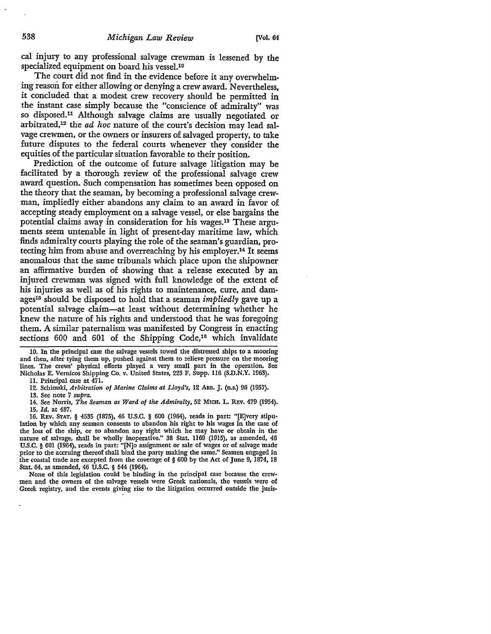cal injury to any professional salvage crewman is lessened by the specialized equipment on board his vessel.1°

The court did not find in the evidence before it any overwhelming reason for either allowing or denying a crew award. Nevertheless, it concluded that a modest crew recovery should be permitted in the instant case simply because the "conscience of admiralty" was so disposed.<sup>11</sup> Although salvage claims are usually negotiated or arbitrated,12 the *ad hoc* nature of the court's decision may lead salvage crewmen, or the owners or insurers of salvaged property, to take future disputes to the federal courts whenever they consider the equities of the particular situation favorable to their position.

Prediction of the outcome of future salvage litigation may be facilitated by a thorough review of the professional salvage crew award question. Such compensation has sometimes been opposed on the theory that the seaman, by becoming a professional salvage crewman, impliedly either abandons any claim to an award in favor of accepting steady employment on a salvage vessel, or else bargains the potential claims away in consideration for his wages.18 These arguments seem untenable in light of present-day maritime law, which finds admiralty courts playing the role of the seaman's guardian, protecting him from abuse and overreaching by his employer.14 It seems anomalous that the same tribunals which place upon the shipowner an affirmative burden of showing that a release executed by an injured crewman was signed with full knowledge of the extent of his injuries as well as of his rights to maintenance, cure, and damages15 should be disposed to hold that a seaman *impliedly* gave up a potential salvage claim-at least without determining whether he knew the nature of his rights and understood that he was foregoing them. A similar paternalism was manifested by Congress in enacting sections 600 and 601 of the Shipping Code,<sup>16</sup> which invalidate

IO. In the principal case the salvage vessels towed the distressed ships to a mooring and then, after tying them up, pushed against them to relieve pressure on the mooring lines. The crews' physical efforts played a very small part in the operation. Sec Nicholas E. Vernicos Shipping Co. v. United States, 223 F. Supp. 116 (S.D.N.Y. 1963). 11. Principal case at 471.

12. Schimski, *Arbitration of Marine Claims at Lloyd's,* 12 ARB. J. (n.s.) 96 (1957),

13. See note 7 *supra.* 

14. See Norris, *The Seaman as Ward of the Admiralty,* 52 MICH. L. REv. 479 (1954). 15. *Id.* at 487.

16. REv. STAT. § 4535 (1875), 46 U.S.C. § 600 (1964), reads in part: "[E]vcry stipulation by which any seaman consents to abandon his right to his wages in the case of the loss of the ship, or to abandon any right which he may have or obtain in the nature of salvage, shall be wholly inoperative." 38 Stat. 1169 (1915), as amended, 46 U.S.C. § 601 (1964), reads in part: "[N]o assignment or sale of wages or of salvage made prior to the accruing thereof shall bind the party making the same." Seamen engaged in the coastal trade are excepted from the coverage of § 600 by the Act of June 9, 1874, 18 Stat. 64, as amended, 46 U.S.C. § 544 (1964).

None of this legislation could be binding in the principal case because the crewmen and the owners of the salvage vessels were Greek nationals, the vessels were of Greek registry, and the events giving rise to the litigation occurred outside the juris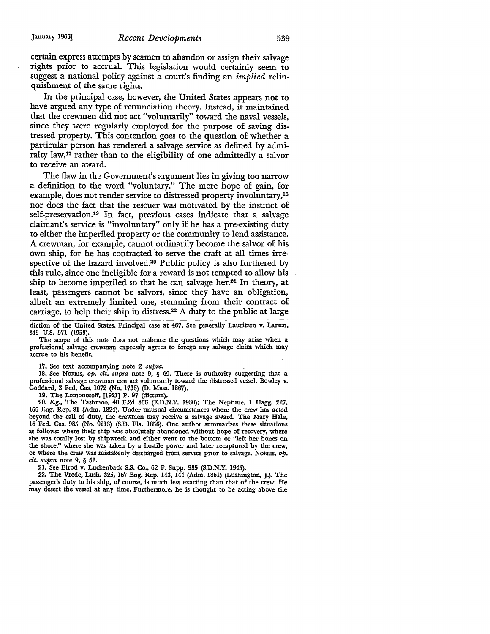certain express attempts by seamen to abandon or assign their salvage rights prior to accrual. This legislation would certainly seem to suggest a national policy against a court's finding an *implied* relinquishment of the same rights.

In the principal case, however, the United States appears not to have argued any type of renunciation theory. Instead, it maintained that the crewmen did not act "voluntarily" toward the naval vessels, since they were regularly employed for the purpose of saving distressed property. This contention goes to the question of whether a particular person has rendered a salvage service as defined by admiralty law,17 rather than to the eligibility of one admittedly a salvor to receive an award.

The flaw in the Government's argument lies in giving too narrow a definition to the word "voluntary." The mere hope of gain, for example, does not render service to distressed property involuntary,18 nor does the fact that the rescuer was motivated by the instinct of self-preservation.19 In fact, previous cases indicate that a salvage claimant's service is "involuntary" only if he has a pre-existing duty to either the imperiled property or the community to lend assistance. A crewman, for example, cannot ordinarily become the salvor of his own ship, for he has contracted to serve the craft at all times irrespective of the hazard involved.<sup>20</sup> Public policy is also furthered by this rule, since one ineligible for a reward is not tempted to allow his ship to become imperiled so that he can salvage her.<sup>21</sup> In theory, at least, passengers cannot be salvors, since they have an obligation, albeit an extremely limited one, stemming from their contract of carriage, to help their ship in distress.22 A duty to the public at large

diction of the United States. Principal case at 467. See generally Lauritzen v. Larsen, 345 U.S. 571 (1953).

The scope of this note does not embrace the questions which may arise when a professional salvage crewman expressly agrees to forego any salvage claim which may accrue to his benefit.

17. See text accompanying note 2 *supra.* .

18. See Norais, op. cit. supra note 9, § 69. There is authority suggesting that a professional salvage crewman can act voluntarily toward the distressed vessel. Bowley v. Goddard, 3 Fed. Cas. 1072 (No. 1736) (D. Mass. 1867).

19. The Lomonosoff, [1921] P. 97 (dictum).

20. E.g., The Tashmoo, 48 F.2d 366 (E.D.N.Y. 1930); The Neptune, I Hagg. 227, 166 Eng. Rep. 81 (Adm. 1824). Under unusual circumstances where the crew has acted beyond the call of duty, the crewmen may receive a salvage award. The Mary Hale, 16 Fed. Cas. 985 (No. 9213) (S.D. Fla. 1856). One author summarizes these situations as follows: where their ship was absolutely abandoned without hope of recovery, where she was totally lost by shipwreck and either went to the bottom or "left her bones on the shore," where she was taken by a hostile power and later recaptured by the crew, or where the crew was mistakenly discharged from service prior to salvage. NoRRIS, op. *cit. supra* note 9, § 52.

21. See Elrod v. Luckenback S.S. Co., 62 F. Supp. 935 (S.D.N.Y. 1945).

22. The Vrede, Lush. 325, 167 Eng. Rep. 143, 144 (Adm. 1861) (Lushington, J.). The passenger's duty to his ship, of course, is much less exacting than that of the crew. He may desert the vessel at any time. Furthermore, he is thought to be acting above the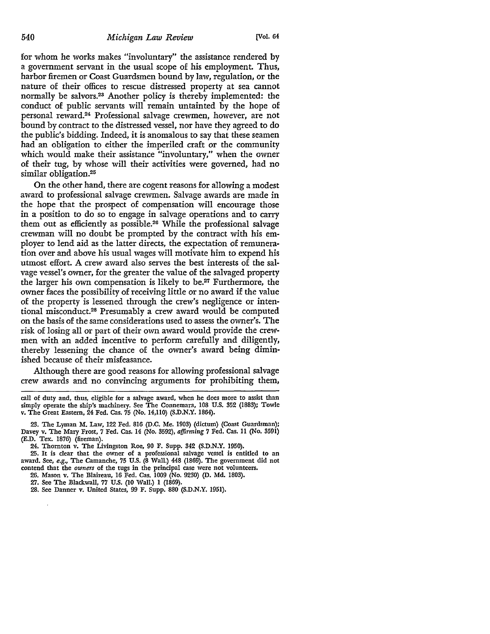for whom he works makes "involuntary" the assistance rendered by a government servant in the usual scope of his employment. Thus, harbor firemen or Coast Guardsmen bound by law, regulation, or the nature of their offices to rescue distressed property at sea cannot normally be salvors.23 Another policy is thereby implemented: the conduct of public servants will remain untainted by the hope of personal reward.24 Professional salvage crewmen, however, are not bound by contract to the distressed vessel, nor have they agreed to do the public's bidding. Indeed, it is anomalous to say that these seamen had an obligation to either the imperiled craft or the community which would make their assistance "involuntary," when the owner of their tug, by whose will their activities were governed, had no similar obligation.25

On the other hand, there are cogent reasons for allowing a modest award to professional salvage crewmen. Salvage awards are made **in**  the hope that the prospect of compensation will encourage those in a position to do so to engage **in** salvage operations and to carry them out as efficiently as possible.26 While the professional salvage crewman will no doubt be prompted by the contract with his employer to lend aid as the latter directs, the expectation of remuneration over and above his usual wages will motivate him to expend his utmost effort. A crew award also serves the best interests of the salvage vessel's owner, for the greater the value of the salvaged property the larger his own compensation is likely to be.27 Furthermore, the owner faces the possibility of receiving little or no award if the value of the property is lessened through the crew's negligence or intentional misconduct.28 Presumably a crew award would be computed on the basis of the same considerations used to assess the owner's. The risk of losing all or part of their own award would provide the crewmen with an added incentive to perform carefully and diligently, thereby lessening the chance of the owner's award being diminished because of their misfeasance.

Although there are good reasons for allowing professional salvage crew awards and no convincing arguments for prohibiting them,

call of duty and, thus, eligible for a salvage award, when he does more to assist than simply operate the ship's machinery. See The Connemara, 108 U.S. 352 (1883); Towle v. The Great Eastern, 24 Fed. Cas. 75 (No. 14,110) (S.D.N.Y. 1864).

23. The Lyman M. Law, 122 Fed. 816 (D.C. Me. 1903) (dictum) (Coast Guardsman); Davey v. The Mary Frost, 7 Fed. Cas. 14 (No. 3592), *affirming* 7 Fed. Cas. II (No. 3591) (E.D. Tex. 1876) (fireman).

24. Thornton v. The Livingston Roe, 90 F. Supp. 342 (S.D.N.Y. 1950).

25. It is clear that the owner of a professional salvage vessel is entitled to an award. See, *e.g.,* The Camanche, 75 U.S. (8 Wall.) 448 (1869). The government did not contend that the *owners* of the tugs in the principal case were not volunteers.

26. Mason v. The Blaireau, 16 Fed. Cas. 1009 (No. 9230) (D. Md. 1803).

27. See The Blackwall, 77 U.S. (10 Wall.) 1 (1869).

28. See Danner v. United States, 99 F. Supp. 880 (S.D.N.Y. 1951).